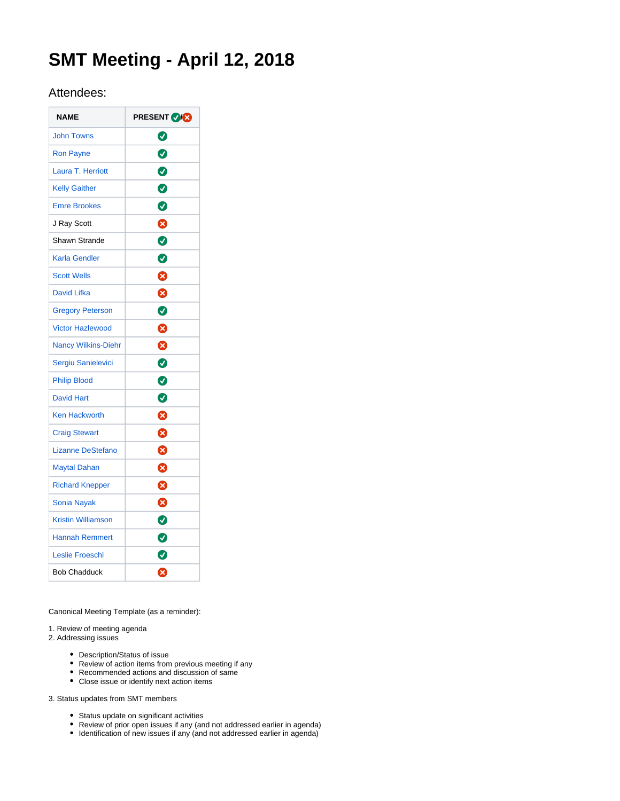# **SMT Meeting - April 12, 2018**

# Attendees:

| <b>NAME</b>                | <b>PRESENT OG</b> |
|----------------------------|-------------------|
| <b>John Towns</b>          | ◙                 |
| <b>Ron Payne</b>           | $\bullet$         |
| Laura T. Herriott          | $\bullet$         |
| <b>Kelly Gaither</b>       | $\bullet$         |
| <b>Emre Brookes</b>        | $\bullet$         |
| J Ray Scott                | 0                 |
| Shawn Strande              | $\bullet$         |
| Karla Gendler              | $\bullet$         |
| <b>Scott Wells</b>         | 0                 |
| <b>David Lifka</b>         | 0                 |
| <b>Gregory Peterson</b>    | $\bullet$         |
| <b>Victor Hazlewood</b>    | 0                 |
| <b>Nancy Wilkins-Diehr</b> | 0                 |
| Sergiu Sanielevici         | $\bullet$         |
| <b>Philip Blood</b>        | $\bullet$         |
| <b>David Hart</b>          | $\bullet$         |
| <b>Ken Hackworth</b>       | Ø                 |
| <b>Craig Stewart</b>       | Ø                 |
| <b>Lizanne DeStefano</b>   | Ø                 |
| <b>Maytal Dahan</b>        | Ø                 |
| <b>Richard Knepper</b>     | ⊗                 |
| <b>Sonia Nayak</b>         | Ø                 |
| <b>Kristin Williamson</b>  | $\bullet$         |
| <b>Hannah Remmert</b>      | $\bullet$         |
| <b>Leslie Froeschl</b>     | Ø                 |
| <b>Bob Chadduck</b>        | Ø                 |

Canonical Meeting Template (as a reminder):

# 1. Review of meeting agenda

2. Addressing issues

- Description/Status of issue
- Review of action items from previous meeting if any
- Recommended actions and discussion of same Close issue or identify next action items

3. Status updates from SMT members

- Status update on significant activities
- Review of prior open issues if any (and not addressed earlier in agenda)
- $\bullet$  Identification of new issues if any (and not addressed earlier in agenda)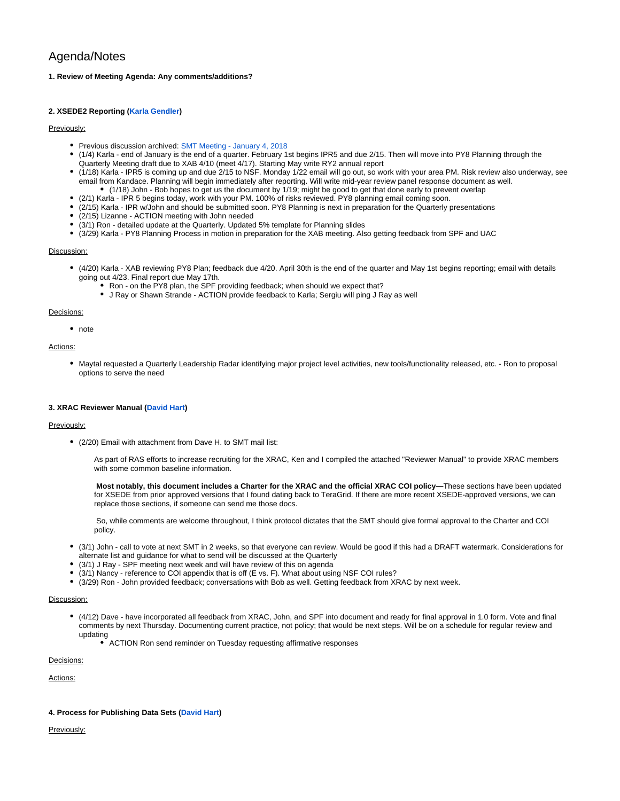# Agenda/Notes

# **1. Review of Meeting Agenda: Any comments/additions?**

# **2. XSEDE2 Reporting [\(Karla Gendler](https://confluence.xsede.org/display/~gendlerk))**

# Previously:

- Previous discussion archived: [SMT Meeting January 4, 2018](https://confluence.xsede.org/display/XT/SMT+Meeting+-+January+4%2C+2018)
- (1/4) Karla end of January is the end of a quarter. February 1st begins IPR5 and due 2/15. Then will move into PY8 Planning through the Quarterly Meeting draft due to XAB 4/10 (meet 4/17). Starting May write RY2 annual report
- (1/18) Karla IPR5 is coming up and due 2/15 to NSF. Monday 1/22 email will go out, so work with your area PM. Risk review also underway, see email from Kandace. Planning will begin immediately after reporting. Will write mid-year review panel response document as well. (1/18) John - Bob hopes to get us the document by 1/19; might be good to get that done early to prevent overlap
- (2/1) Karla IPR 5 begins today, work with your PM. 100% of risks reviewed. PY8 planning email coming soon.
- (2/15) Karla IPR w/John and should be submitted soon. PY8 Planning is next in preparation for the Quarterly presentations
- (2/15) Lizanne ACTION meeting with John needed
- (3/1) Ron detailed update at the Quarterly. Updated 5% template for Planning slides
- (3/29) Karla PY8 Planning Process in motion in preparation for the XAB meeting. Also getting feedback from SPF and UAC

#### Discussion:

- (4/20) Karla XAB reviewing PY8 Plan; feedback due 4/20. April 30th is the end of the quarter and May 1st begins reporting; email with details going out 4/23. Final report due May 17th.
	- Ron on the PY8 plan, the SPF providing feedback; when should we expect that?
	- J Ray or Shawn Strande ACTION provide feedback to Karla; Sergiu will ping J Ray as well

# Decisions:

• note

# Actions:

Maytal requested a Quarterly Leadership Radar identifying major project level activities, new tools/functionality released, etc. - Ron to proposal options to serve the need

# **3. XRAC Reviewer Manual [\(David Hart\)](https://confluence.xsede.org/display/~davidlh)**

#### Previously:

(2/20) Email with attachment from Dave H. to SMT mail list:

As part of RAS efforts to increase recruiting for the XRAC, Ken and I compiled the attached "Reviewer Manual" to provide XRAC members with some common baseline information.

**Most notably, this document includes a Charter for the XRAC and the official XRAC COI policy—**These sections have been updated for XSEDE from prior approved versions that I found dating back to TeraGrid. If there are more recent XSEDE-approved versions, we can replace those sections, if someone can send me those docs.

 So, while comments are welcome throughout, I think protocol dictates that the SMT should give formal approval to the Charter and COI policy.

- (3/1) John call to vote at next SMT in 2 weeks, so that everyone can review. Would be good if this had a DRAFT watermark. Considerations for alternate list and guidance for what to send will be discussed at the Quarterly
- (3/1) J Ray SPF meeting next week and will have review of this on agenda
- (3/1) Nancy reference to COI appendix that is off (E vs. F). What about using NSF COI rules?
- $\bullet$ (3/29) Ron - John provided feedback; conversations with Bob as well. Getting feedback from XRAC by next week.

#### Discussion:

- (4/12) Dave have incorporated all feedback from XRAC, John, and SPF into document and ready for final approval in 1.0 form. Vote and final comments by next Thursday. Documenting current practice, not policy; that would be next steps. Will be on a schedule for regular review and updating
	- ACTION Ron send reminder on Tuesday requesting affirmative responses

Decisions:

Actions:

# **4. Process for Publishing Data Sets ([David Hart](https://confluence.xsede.org/display/~davidlh))**

Previously: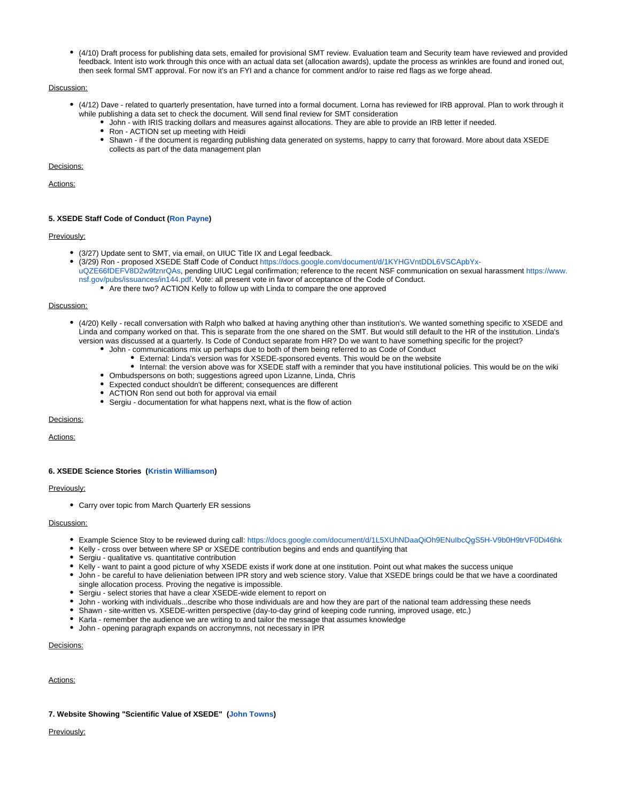(4/10) Draft process for publishing data sets, emailed for provisional SMT review. Evaluation team and Security team have reviewed and provided feedback. Intent isto work through this once with an actual data set (allocation awards), update the process as wrinkles are found and ironed out, then seek formal SMT approval. For now it's an FYI and a chance for comment and/or to raise red flags as we forge ahead.

# Discussion:

- (4/12) Dave related to quarterly presentation, have turned into a formal document. Lorna has reviewed for IRB approval. Plan to work through it while publishing a data set to check the document. Will send final review for SMT consideration
	- John with IRIS tracking dollars and measures against allocations. They are able to provide an IRB letter if needed.
	- Ron ACTION set up meeting with Heidi
	- Shawn if the document is regarding publishing data generated on systems, happy to carry that foroward. More about data XSEDE collects as part of the data management plan

#### Decisions:

Actions:

#### **5. XSEDE Staff Code of Conduct ([Ron Payne](https://confluence.xsede.org/display/~rpayne))**

#### Previously:

- (3/27) Update sent to SMT, via email, on UIUC Title IX and Legal feedback.
- (3/29) Ron proposed XSEDE Staff Code of Conduct [https://docs.google.com/document/d/1KYHGVntDDL6VSCApbYx](https://urldefense.proofpoint.com/v2/url?u=https-3A__docs.google.com_document_d_1KYHGVntDDL6VSCApbYx-2DuQZE66fDEFV8D2w9fznrQAs&d=DwMFAg&c=OCIEmEwdEq_aNlsP4fF3gFqSN-E3mlr2t9JcDdfOZag&r=lVpjqJ7ukVNIVTts-o5jR3b9jswp-BwuGkpOdlwULA4&m=wFp7nkf27UVA91-mRAIgpkmZs0WeBN6rfrx2HHOgZ8U&s=DOQBfzo_6IUdCXnYN380wm1UM6xNhnPops1ieIEl3Fc&e=)[uQZE66fDEFV8D2w9fznrQAs](https://urldefense.proofpoint.com/v2/url?u=https-3A__docs.google.com_document_d_1KYHGVntDDL6VSCApbYx-2DuQZE66fDEFV8D2w9fznrQAs&d=DwMFAg&c=OCIEmEwdEq_aNlsP4fF3gFqSN-E3mlr2t9JcDdfOZag&r=lVpjqJ7ukVNIVTts-o5jR3b9jswp-BwuGkpOdlwULA4&m=wFp7nkf27UVA91-mRAIgpkmZs0WeBN6rfrx2HHOgZ8U&s=DOQBfzo_6IUdCXnYN380wm1UM6xNhnPops1ieIEl3Fc&e=), pending UIUC Legal confirmation; reference to the recent NSF communication on sexual harassment [https://www.](https://urldefense.proofpoint.com/v2/url?u=https-3A__www.nsf.gov_pubs_issuances_in144.pdf&d=DwMFAg&c=OCIEmEwdEq_aNlsP4fF3gFqSN-E3mlr2t9JcDdfOZag&r=lVpjqJ7ukVNIVTts-o5jR3b9jswp-BwuGkpOdlwULA4&m=wFp7nkf27UVA91-mRAIgpkmZs0WeBN6rfrx2HHOgZ8U&s=ZU2Jg8ytfZZYLpEdjExsrix80BVpA8hfCMgN1ED5X08&e=)
- [nsf.gov/pubs/issuances/in144.pdf.](https://urldefense.proofpoint.com/v2/url?u=https-3A__www.nsf.gov_pubs_issuances_in144.pdf&d=DwMFAg&c=OCIEmEwdEq_aNlsP4fF3gFqSN-E3mlr2t9JcDdfOZag&r=lVpjqJ7ukVNIVTts-o5jR3b9jswp-BwuGkpOdlwULA4&m=wFp7nkf27UVA91-mRAIgpkmZs0WeBN6rfrx2HHOgZ8U&s=ZU2Jg8ytfZZYLpEdjExsrix80BVpA8hfCMgN1ED5X08&e=) Vote: all present vote in favor of acceptance of the Code of Conduct.
	- Are there two? ACTION Kelly to follow up with Linda to compare the one approved

#### Discussion:

- (4/20) Kelly recall conversation with Ralph who balked at having anything other than institution's. We wanted something specific to XSEDE and Linda and company worked on that. This is separate from the one shared on the SMT. But would still default to the HR of the institution. Linda's version was discussed at a quarterly. Is Code of Conduct separate from HR? Do we want to have something specific for the project?
	- John communications mix up perhaps due to both of them being referred to as Code of Conduct
		- External: Linda's version was for XSEDE-sponsored events. This would be on the website
		- Internal: the version above was for XSEDE staff with a reminder that you have institutional policies. This would be on the wiki
	- Ombudspersons on both; suggestions agreed upon Lizanne, Linda, Chris
	- Expected conduct shouldn't be different; consequences are different
	- ACTION Ron send out both for approval via email
	- Sergiu documentation for what happens next, what is the flow of action

# Decisions:

Actions:

#### **6. XSEDE Science Stories [\(Kristin Williamson\)](https://confluence.xsede.org/display/~wkristin)**

#### Previously:

Carry over topic from March Quarterly ER sessions

#### Discussion:

- Example Science Stoy to be reviewed during call:<https://docs.google.com/document/d/1L5XUhNDaaQiOh9ENuIbcQgS5H-V9b0H9trVF0Di46hk>
- Kelly cross over between where SP or XSEDE contribution begins and ends and quantifying that
- Sergiu qualitative vs. quantitative contribution
- Kelly want to paint a good picture of why XSEDE exists if work done at one institution. Point out what makes the success unique
- John be careful to have delieniation between IPR story and web science story. Value that XSEDE brings could be that we have a coordinated single allocation process. Proving the negative is impossible.
- Sergiu select stories that have a clear XSEDE-wide element to report on
- John working with individuals...describe who those individuals are and how they are part of the national team addressing these needs
- Shawn site-written vs. XSEDE-written perspective (day-to-day grind of keeping code running, improved usage, etc.)
- Karla remember the audience we are writing to and tailor the message that assumes knowledge
- John opening paragraph expands on accronymns, not necessary in IPR

# Decisions:

Actions:

#### **7. Website Showing "Scientific Value of XSEDE" [\(John Towns](https://confluence.xsede.org/display/~jtowns))**

Previously: